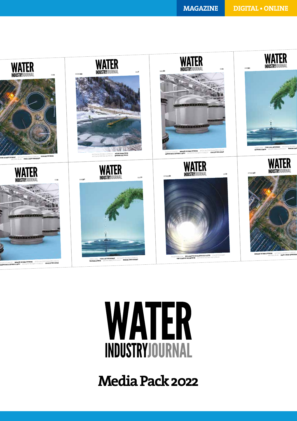

# WATER INDUSTRYJOURNAL

**Media Pack 2022**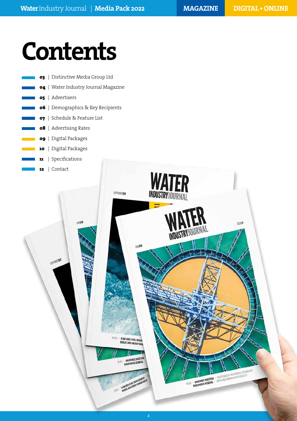## **Contents**



- **o4** | Water Industry Journal Magazine
- os | Advertisers
- **06** | Demographics & Key Recipients
- **o7** Schedule & Feature List
- **o8** | Advertising Rates
- og | Digital Packages
- 10 | Digital Packages
- 11 | Specifications
- 12 | Contact

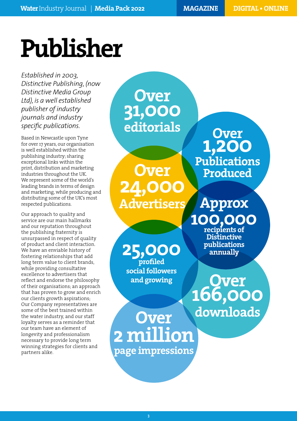## **Publisher**

*Established in 2003, Distinctive Publishing, (now Distinctive Media Group Ltd), is a well established publisher of industry journals and industry specific publications.*

Based in Newcastle upon Tyne for over 17 years, our organisation is well established within the publishing industry; sharing exceptional links within the print, distribution and marketing industries throughout the UK. We represent some of the world's leading brands in terms of design and marketing, while producing and distributing some of the UK's most respected publications.

Our approach to quality and service are our main hallmarks and our reputation throughout the publishing fraternity is unsurpassed in respect of quality of product and client interaction. We have an enviable history of fostering relationships that add long term value to client brands, while providing consultative excellence to advertisers that reflect and endorse the philosophy of their organisations; an approach that has proven to grow and enrich our clients growth aspirations; Our Company representatives are some of the best trained within the water industry, and our staff loyalty serves as a reminder that our team have an element of longevity and professionalism necessary to provide long term winning strategies for clients and partners alike.

**Over 31,000 editorials**

**24,000 Advertisers Approx**

**publications 25,000 annually profiled social followers and growing** 

**2 million page impressions**

**Over 1,200 Publications** 

**100,000 recipients of** 

**Distinctive** 

**Over 166,000 downloads Over**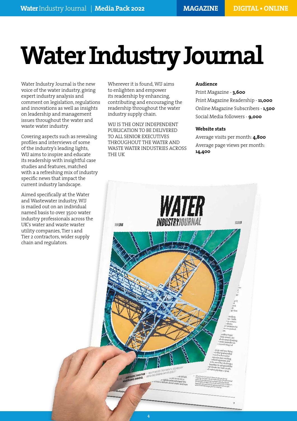## **Water Industry Journal**

Water Industry Journal is the new voice of the water industry, giving expert industry analysis and comment on legislation, regulations and innovations as well as insights on leadership and management issues throughout the water and waste water industry.

Covering aspects such as revealing profiles and interviews of some of the industry's leading lights, WIJ aims to inspire and educate its readership with insightful case studies and features, matched with a a refreshing mix of industry specific news that impact the current industry landscape.

Aimed specifically at the Water and Wastewater industry, WIJ is mailed out on an individual named basis to over 3500 water industry professionals across the UK's water and waste waster utility companies, Tier 1 and Tier 2 contractors, wider supply chain and regulators.

Wherever it is found, WIJ aims to enlighten and empower its readership by enhancing, contributing and encouraging the readership throughout the water industry supply chain.

WIJ IS THE ONLY INDEPENDENT PUBLICATION TO BE DELIVERED TO ALL SENIOR EXECUTIVES THROUGHOUT THE WATER AND WASTE WATER INDUSTRIES ACROSS THE UK

### **Audience**

Print Magazine - **3,600** Print Magazine Readership - **11,000** Online Magazine Subscribers - **1,500** Social Media followers - **9,000**

#### **Website stats**

Average visits per month: **4,800** Average page views per month: **14,400**

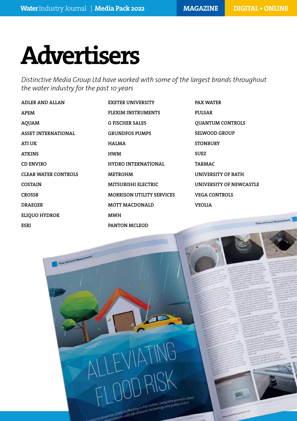Flow and Level Measurement

## **Advertisers**

*Distinctive Media Group Ltd have worked with some of the largest brands throughout the water industry for the past 10 years*

**ADLER AND ALLAN APEM AQUAM ASSET INTERNATIONAL ATI UK ATKINS CD ENVIRO CLEAR WATER CONTROLS COSTAIN CROSS8 DRAEGER ELIQUO HYDROK ESRI**

**EXETER UNIVERSITY FLEXIM INSTRUMENTS G FISCHER SALES GRUNDFOS PUMPS HALMA HWM HYDRO INTERNATIONAL METROHM MITSUBISHI ELECTRIC MORRISON UTILITY SERVICES MOTT MACDONALD MWH PANTON MCLEOD**

**PAX WATER PULSAR QUANTUM CONTROLS SELWOOD GROUP STONBURY SUEZ TARMAC UNIVERSITY OF BATH UNIVERSITY OF NEWCASTLE VEGA CONTROLS VEOLIA**

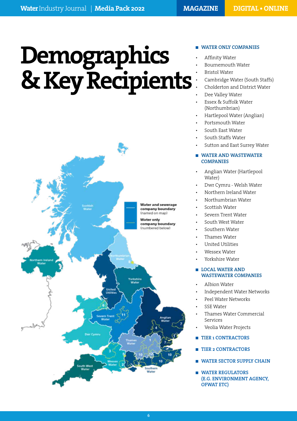## **Demographics & Key Recipients**



## **WATER ONLY COMPANIES**

- Affinity Water
- Bournemouth Water
- Bristol Water
- Cambridge Water (South Staffs)
- Cholderton and District Water
- Dee Valley Water
- Essex & Suffolk Water (Northumbrian)
- Hartlepool Water (Anglian)
- Portsmouth Water
- South East Water
- South Staffs Water
- Sutton and East Surrey Water

## **NATER AND WASTEWATER COMPANIES**

- Anglian Water (Hartlepool Water)
- Dwr Cymru Welsh Water
- Northern Ireland Water
- Northumbrian Water
- Scottish Water
- Severn Trent Water
- South West Water
- Southern Water
- Thames Water
- United Utilities
- Wessex Water
- Yorkshire Water

## **LOCAL WATER AND WASTEWATER COMPANIES**

- Albion Water
- Independent Water Networks
- Peel Water Networks
- SSE Water
- Thames Water Commercial Services
- Veolia Water Projects
- n **TIER 1 CONTRACTORS**
- n **TIER 2 CONTRACTORS**
- **WATER SECTOR SUPPLY CHAIN**
- n **WATER REGULATORS (E.G. ENVIRONMENT AGENCY, OFWAT ETC)**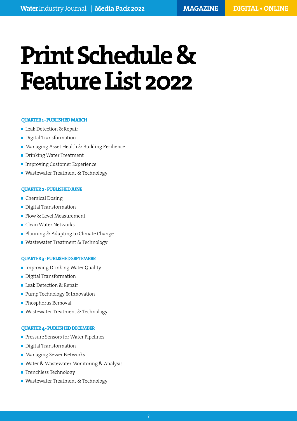## **Print Schedule & Feature List 2022**

## **QUARTER 1 - PUBLISHED MARCH**

- **Leak Detection & Repair**
- **Digital Transformation**
- **Managing Asset Health & Building Resilience**
- **Drinking Water Treatment**
- **Improving Customer Experience**
- Wastewater Treatment & Technology

## **QUARTER 2 - PUBLISHED JUNE**

- **Chemical Dosing**
- **Digital Transformation**
- Flow & Level Measurement
- Clean Water Networks
- Planning & Adapting to Climate Change
- **Wastewater Treatment & Technology**

## **QUARTER 3 - PUBLISHED SEPTEMBER**

- Improving Drinking Water Ouality
- Digital Transformation
- **Leak Detection & Repair**
- **Pump Technology & Innovation**
- **Phosphorus Removal**
- **NA** Wastewater Treatment & Technology

## **QUARTER 4 - PUBLISHED DECEMBER**

- **Pressure Sensors for Water Pipelines**
- **Digital Transformation**
- **Managing Sewer Networks**
- Water & Wastewater Monitoring & Analysis
- **Trenchless Technology**
- Wastewater Treatment & Technology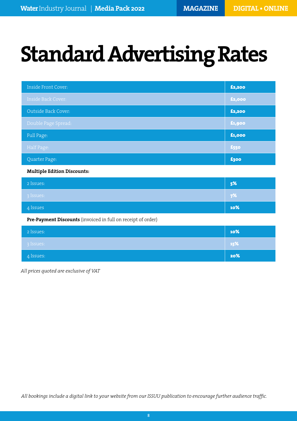## **Standard Advertising Rates**

| Inside Front Cover: | £2,200 |
|---------------------|--------|
| Inside Back Cover:  | £2,000 |
| Outside Back Cover: | £2,200 |
| Double Page Spread: | £1,900 |
| Full Page:          | £1,000 |
| Half Page:          | £550   |
| Quarter Page:       | £300   |

## **Multiple Edition Discounts:**

| 4 Issues  | 10% |
|-----------|-----|
| 3 Issues: | 7%  |
| 2 Issues: | 5%  |

## **Pre-Payment Discounts** (invoiced in full on receipt of order)

| 2 Issues: | 10% |
|-----------|-----|
| 3 Issues: | 15% |
| 4 Issues: | 20% |

*All prices quoted are exclusive of VAT*

*All bookings include a digital link to your website from our ISSUU publication to encourage further audience traffic.*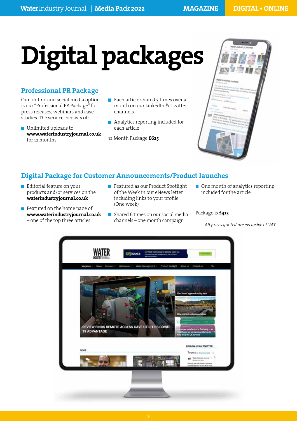# **Digital packages**

## **Professional PR Package**

Our on-line and social media option is our "Professional PR Package" for press releases, webinars and case studies. The service consists of:-

- **Unlimited uploads to www.waterindustryjournal.co.uk**  for 12 months
- Each article shared 3 times over a month on our LinkedIn & Twitter channels
- **Analytics reporting included for** each article
- 12 Month Package **£625**



## **Digital Package for Customer Announcements/Product launches**

- Editorial feature on your products and/or services on the **waterindustryjournal.co.uk**
- **Featured on the home page of www.waterindustryjournal.co.uk** – one of the top three articles
- Featured as our Product Spotlight of the Week in our eNews letter including links to your profile (One week)
- Shared 6 times on our social media  $\Box$ channels – one month campaign
- One month of analytics reporting included for the article

Package is **£415**

*All prices quoted are exclusive of VAT*

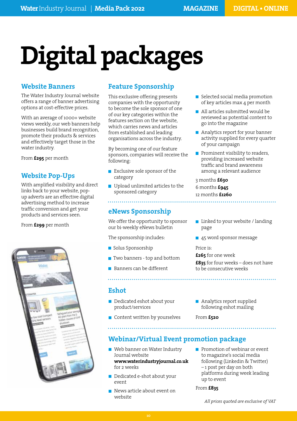Selected social media promotion of key articles max 4 per month All articles submitted would be reviewed as potential content to

**Analytics report for your banner** activity supplied for every quarter

 $\blacksquare$  Prominent visibility to readers, providing increased website traffic and brand awareness among a relevant audience

go into the magazine

of your campaign

3 months **£630** 6 months **£945** 12 months **£1260**

# **Digital packages**

## **Website Banners**

The Water Industry Journal website offers a range of banner advertising options at cost-effective prices.

With an average of 1000+ website views weekly, our web banners help businesses build brand recognition, promote their products & services and effectively target those in the water industry.

From **£295** per month

## **Website Pop-Ups**

With amplified visibility and direct links back to your website, popup adverts are an effective digital advertising method to increase traffic conversion and get your products and services seen.

## From **£299** per month



## **Feature Sponsorship**

This exclusive offering presents companies with the opportunity to become the sole sponsor of one of our key categories within the features section on the website, which carries news and articles from established and leading organisations across the industry.

By becoming one of our feature sponsors, companies will receive the following:

- **Exclusive sole sponsor of the** category
- **Upload unlimited articles to the** sponsored category

## **eNews Sponsorship**

We offer the opportunity to sponsor our bi-weekly eNews bulletin

The sponsorship includes:

- Solus Sponsorship
- Two banners top and bottom
- $\blacksquare$  Banners can be different
- 

**Linked to your website / landing** page

■ 45 word sponsor message

Price is:

**£265** for one week

**£835** for four weeks – does not have to be consecutive weeks

## **Eshot**

- Dedicated eshot about your product/services
- Content written by yourselves
- **Analytics report supplied** following eshot mailing
- From **£520**

## **Webinar/Virtual Event promotion package**

- Web banner on Water Industry Journal website **www.waterindustryjournal.co.uk** for 2 weeks
- Dedicated e-shot about your event
- News article about event on website
- **Promotion of webinar or event** to magazine's social media following (Linkedin & Twitter) – 1 post per day on both platforms during week leading up to event

## From **£835**

*All prices quoted are exclusive of VAT*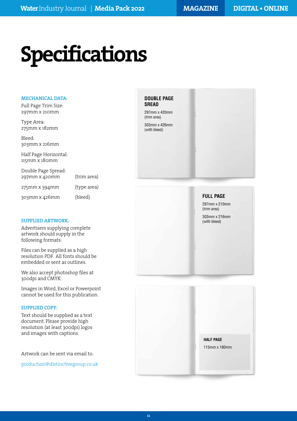## **Specifications**

#### **MECHANICAL DATA:**

Full Page Trim Size: 297mm x 210mm

Type Area: 275mm x 182mm

Bleed: 303mm x 216mm

Half Page Horizontal: 115mm x 180mm

Double Page Spread: 297mm x 420mm (trim area) 275mm x 394mm (type area)

303mm x 426mm (bleed)

#### **SUPPLIED ARTWORK:**

Advertisers supplying complete artwork should supply in the following formats:

Files can be supplied as a high resolution PDF. All fonts should be embedded or sent as outlines.

We also accept photoshop files at 300dpi and CMYK.

Images in Word, Excel or Powerpoint cannot be used for this publication.

## **SUPPLIED COPY:**

Text should be supplied as a text document. Please provide high resolution (at least 300dpi) logos and images with captions.

Artwork can be sent via email to:

production@distinctivegroup.co.uk

#### **DOUBLE PAGE SREAD**

297mm x 420mm (trim area)

303mm x 426mm (with bleed)

#### **FULL PAGE**

297mm x 210mm (trim area)

303mm x 216mm (with bleed)

**HALF PAGE** 115mm x 180mm